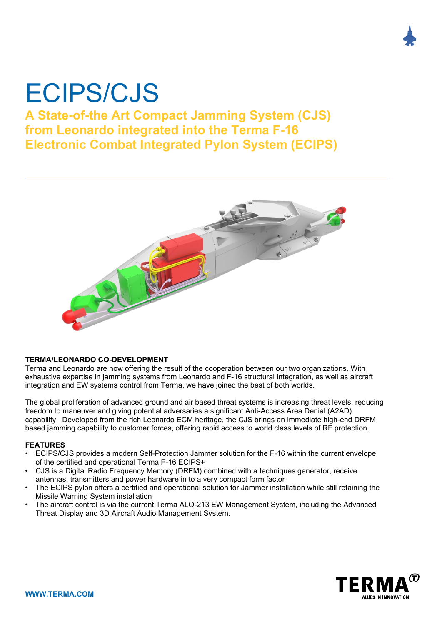# ECIPS/CJS

# **A State-of-the Art Compact Jamming System (CJS) from Leonardo integrated into the Terma F-16 Electronic Combat Integrated Pylon System (ECIPS)**



#### **TERMA/LEONARDO CO-DEVELOPMENT**

Terma and Leonardo are now offering the result of the cooperation between our two organizations. With exhaustive expertise in jamming systems from Leonardo and F-16 structural integration, as well as aircraft integration and EW systems control from Terma, we have joined the best of both worlds.

The global proliferation of advanced ground and air based threat systems is increasing threat levels, reducing freedom to maneuver and giving potential adversaries a significant Anti-Access Area Denial (A2AD) capability. Developed from the rich Leonardo ECM heritage, the CJS brings an immediate high-end DRFM based jamming capability to customer forces, offering rapid access to world class levels of RF protection.

## **FEATURES**

- ECIPS/CJS provides a modern Self-Protection Jammer solution for the F-16 within the current envelope of the certified and operational Terma F-16 ECIPS+
- CJS is a Digital Radio Frequency Memory (DRFM) combined with a techniques generator, receive antennas, transmitters and power hardware in to a very compact form factor
- The ECIPS pylon offers a certified and operational solution for Jammer installation while still retaining the Missile Warning System installation
- The aircraft control is via the current Terma ALQ-213 EW Management System, including the Advanced Threat Display and 3D Aircraft Audio Management System.